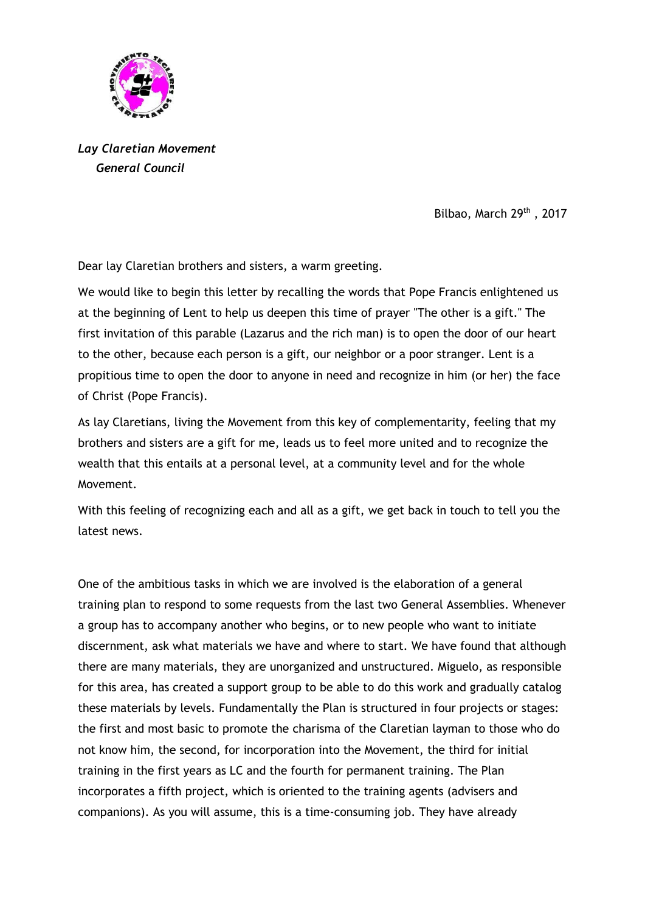

*Lay Claretian Movement General Council*

Bilbao, March 29<sup>th</sup>, 2017

Dear lay Claretian brothers and sisters, a warm greeting.

We would like to begin this letter by recalling the words that Pope Francis enlightened us at the beginning of Lent to help us deepen this time of prayer "The other is a gift." The first invitation of this parable (Lazarus and the rich man) is to open the door of our heart to the other, because each person is a gift, our neighbor or a poor stranger. Lent is a propitious time to open the door to anyone in need and recognize in him (or her) the face of Christ (Pope Francis).

As lay Claretians, living the Movement from this key of complementarity, feeling that my brothers and sisters are a gift for me, leads us to feel more united and to recognize the wealth that this entails at a personal level, at a community level and for the whole Movement.

With this feeling of recognizing each and all as a gift, we get back in touch to tell you the latest news.

One of the ambitious tasks in which we are involved is the elaboration of a general training plan to respond to some requests from the last two General Assemblies. Whenever a group has to accompany another who begins, or to new people who want to initiate discernment, ask what materials we have and where to start. We have found that although there are many materials, they are unorganized and unstructured. Miguelo, as responsible for this area, has created a support group to be able to do this work and gradually catalog these materials by levels. Fundamentally the Plan is structured in four projects or stages: the first and most basic to promote the charisma of the Claretian layman to those who do not know him, the second, for incorporation into the Movement, the third for initial training in the first years as LC and the fourth for permanent training. The Plan incorporates a fifth project, which is oriented to the training agents (advisers and companions). As you will assume, this is a time-consuming job. They have already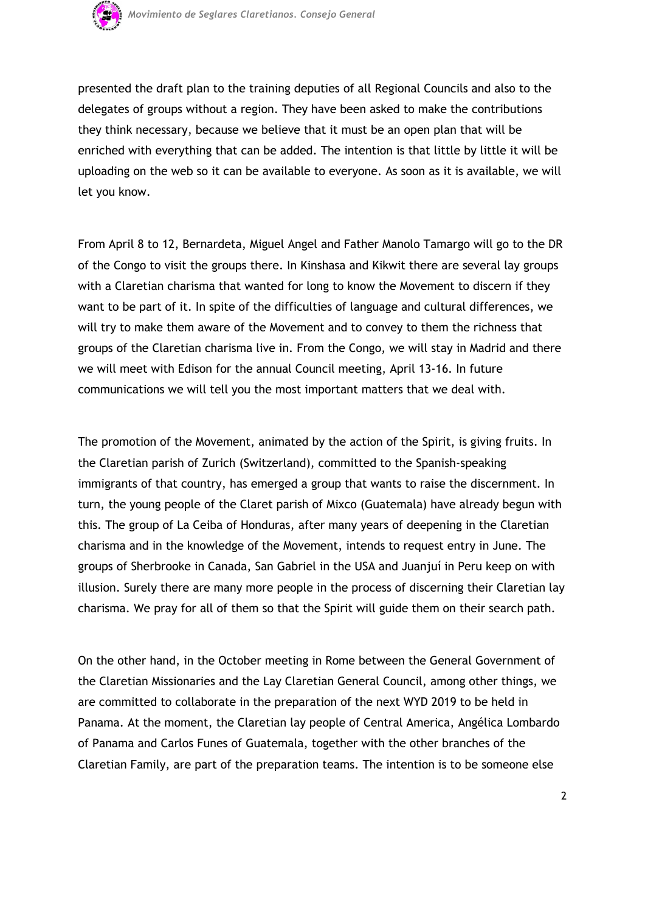

presented the draft plan to the training deputies of all Regional Councils and also to the delegates of groups without a region. They have been asked to make the contributions they think necessary, because we believe that it must be an open plan that will be enriched with everything that can be added. The intention is that little by little it will be uploading on the web so it can be available to everyone. As soon as it is available, we will let you know.

From April 8 to 12, Bernardeta, Miguel Angel and Father Manolo Tamargo will go to the DR of the Congo to visit the groups there. In Kinshasa and Kikwit there are several lay groups with a Claretian charisma that wanted for long to know the Movement to discern if they want to be part of it. In spite of the difficulties of language and cultural differences, we will try to make them aware of the Movement and to convey to them the richness that groups of the Claretian charisma live in. From the Congo, we will stay in Madrid and there we will meet with Edison for the annual Council meeting, April 13-16. In future communications we will tell you the most important matters that we deal with.

The promotion of the Movement, animated by the action of the Spirit, is giving fruits. In the Claretian parish of Zurich (Switzerland), committed to the Spanish-speaking immigrants of that country, has emerged a group that wants to raise the discernment. In turn, the young people of the Claret parish of Mixco (Guatemala) have already begun with this. The group of La Ceiba of Honduras, after many years of deepening in the Claretian charisma and in the knowledge of the Movement, intends to request entry in June. The groups of Sherbrooke in Canada, San Gabriel in the USA and Juanjuí in Peru keep on with illusion. Surely there are many more people in the process of discerning their Claretian lay charisma. We pray for all of them so that the Spirit will guide them on their search path.

On the other hand, in the October meeting in Rome between the General Government of the Claretian Missionaries and the Lay Claretian General Council, among other things, we are committed to collaborate in the preparation of the next WYD 2019 to be held in Panama. At the moment, the Claretian lay people of Central America, Angélica Lombardo of Panama and Carlos Funes of Guatemala, together with the other branches of the Claretian Family, are part of the preparation teams. The intention is to be someone else